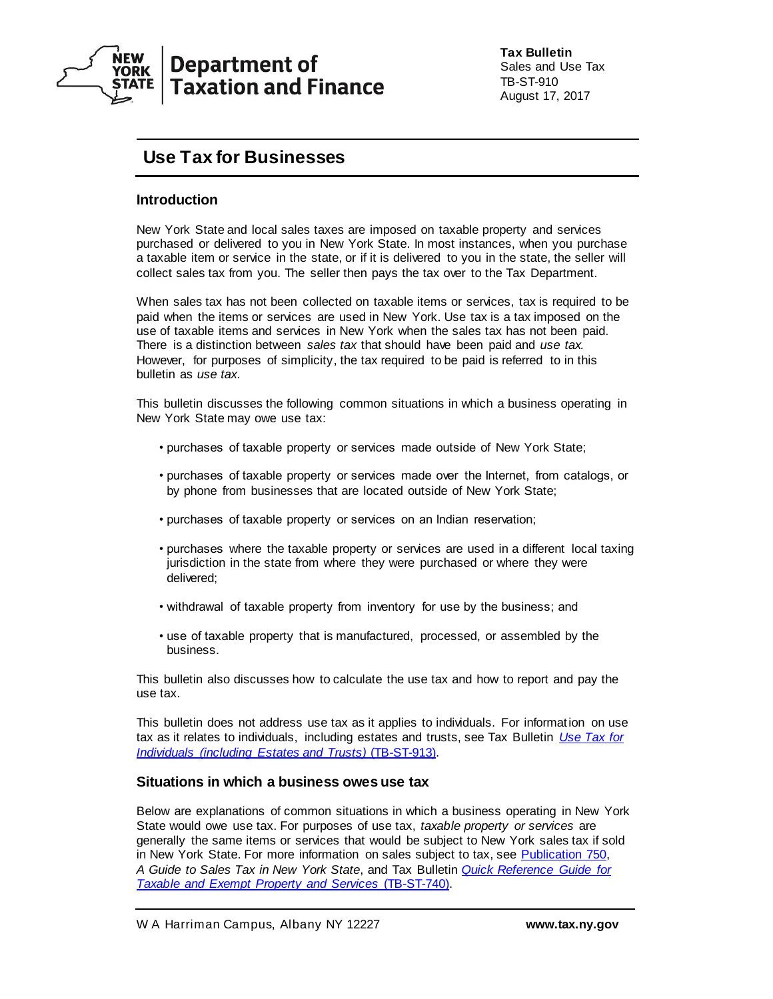

# **Department of Taxation and Finance**

**Tax Bulletin** Sales and Use Tax TB-ST-910 August 17, 2017

# **Use Tax for Businesses**

# **Introduction**

New York State and local sales taxes are imposed on taxable property and services purchased or delivered to you in New York State. In most instances, when you purchase a taxable item or service in the state, or if it is delivered to you in the state, the seller will collect sales tax from you. The seller then pays the tax over to the Tax Department.

When sales tax has not been collected on taxable items or services, tax is required to be paid when the items or services are used in New York. Use tax is a tax imposed on the use of taxable items and services in New York when the sales tax has not been paid. There is a distinction between *sales tax* that should have been paid and *use tax.*  However, for purposes of simplicity, the tax required to be paid is referred to in this bulletin as *use tax*.

This bulletin discusses the following common situations in which a business operating in New York State may owe use tax:

- purchases of taxable property or services made outside of New York State;
- purchases of taxable property or services made over the Internet, from catalogs, or by phone from businesses that are located outside of New York State;
- purchases of taxable property or services on an Indian reservation;
- purchases where the taxable property or services are used in a different local taxing jurisdiction in the state from where they were purchased or where they were delivered;
- withdrawal of taxable property from inventory for use by the business; and
- use of taxable property that is manufactured, processed, or assembled by the business.

This bulletin also discusses how to calculate the use tax and how to report and pay the use tax.

This bulletin does not address use tax as it applies to individuals. For information on use tax as it relates to individuals, including estates and trusts, see Tax Bulletin *[Use Tax for](http://www.tax.ny.gov/pubs_and_bulls/tg_bulletins/st/use_tax_for_individuals.htm)  [Individuals \(including Estates and Trusts\)](http://www.tax.ny.gov/pubs_and_bulls/tg_bulletins/st/use_tax_for_individuals.htm)* (TB-ST-913).

## **Situations in which a business owes use tax**

Below are explanations of common situations in which a business operating in New York State would owe use tax. For purposes of use tax, *taxable property or services* are generally the same items or services that would be subject to New York sales tax if sold in New York State. For more information on sales subject to tax, see [Publication 750,](http://www.tax.ny.gov/pdf/publications/sales/pub750.pdf) *A Guide to Sales Tax in New York State*, and Tax Bulletin *[Quick Reference Guide for](https://www.tax.ny.gov/pubs_and_bulls/tg_bulletins/st/quick_reference_guide_for_taxable_and_exempt_property_and_services.htm)  [Taxable and Exempt Property and Services](https://www.tax.ny.gov/pubs_and_bulls/tg_bulletins/st/quick_reference_guide_for_taxable_and_exempt_property_and_services.htm)* (TB-ST-740).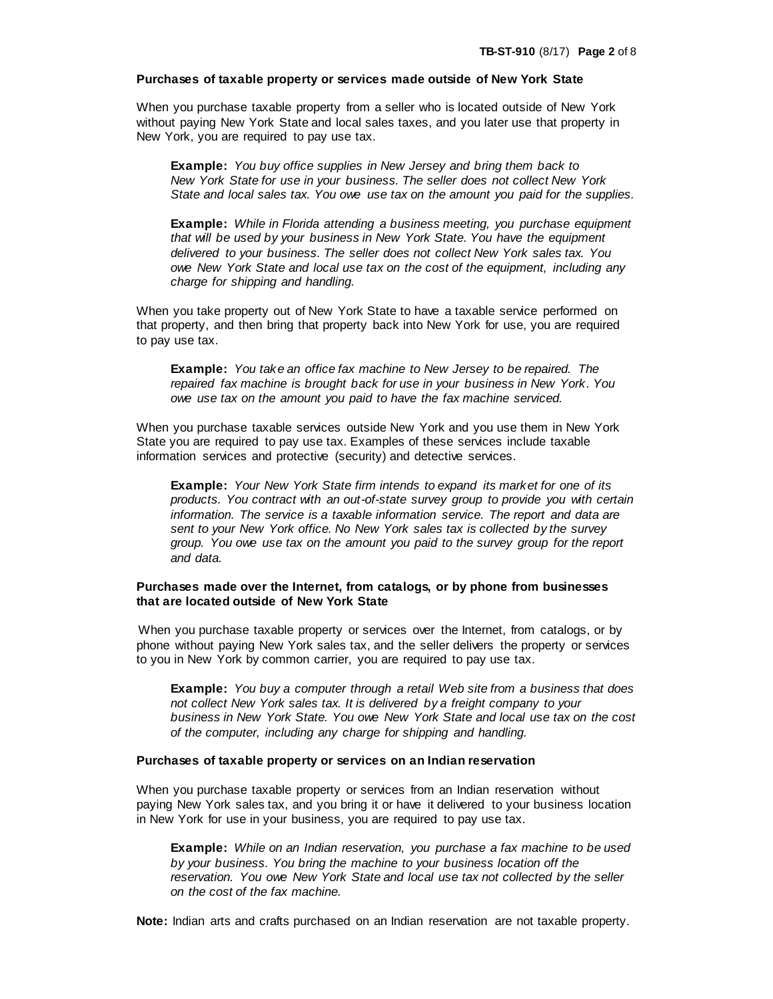#### **Purchases of taxable property or services made outside of New York State**

When you purchase taxable property from a seller who is located outside of New York without paying New York State and local sales taxes, and you later use that property in New York, you are required to pay use tax.

**Example:** *You buy office supplies in New Jersey and bring them back to New York State for use in your business. The seller does not collect New York State and local sales tax. You owe use tax on the amount you paid for the supplies.*

**Example:** *While in Florida attending a business meeting, you purchase equipment that will be used by your business in New York State. You have the equipment delivered to your business. The seller does not collect New York sales tax. You owe New York State and local use tax on the cost of the equipment, including any charge for shipping and handling.*

When you take property out of New York State to have a taxable service performed on that property, and then bring that property back into New York for use, you are required to pay use tax.

**Example:** *You take an office fax machine to New Jersey to be repaired. The repaired fax machine is brought back for use in your business in New York. You owe use tax on the amount you paid to have the fax machine serviced.*

When you purchase taxable services outside New York and you use them in New York State you are required to pay use tax. Examples of these services include taxable information services and protective (security) and detective services.

**Example:** *Your New York State firm intends to expand its market for one of its products. You contract with an out-of-state survey group to provide you with certain information. The service is a taxable information service. The report and data are sent to your New York office. No New York sales tax is collected by the survey group. You owe use tax on the amount you paid to the survey group for the report and data.*

## **Purchases made over the Internet, from catalogs, or by phone from businesses that are located outside of New York State**

When you purchase taxable property or services over the Internet, from catalogs, or by phone without paying New York sales tax, and the seller delivers the property or services to you in New York by common carrier, you are required to pay use tax.

**Example:** *You buy a computer through a retail Web site from a business that does not collect New York sales tax. It is delivered by a freight company to your business in New York State. You owe New York State and local use tax on the cost of the computer, including any charge for shipping and handling.*

#### **Purchases of taxable property or services on an Indian reservation**

When you purchase taxable property or services from an Indian reservation without paying New York sales tax, and you bring it or have it delivered to your business location in New York for use in your business, you are required to pay use tax.

**Example:** *While on an Indian reservation, you purchase a fax machine to be used by your business. You bring the machine to your business location off the reservation. You owe New York State and local use tax not collected by the seller on the cost of the fax machine.*

**Note:** Indian arts and crafts purchased on an Indian reservation are not taxable property.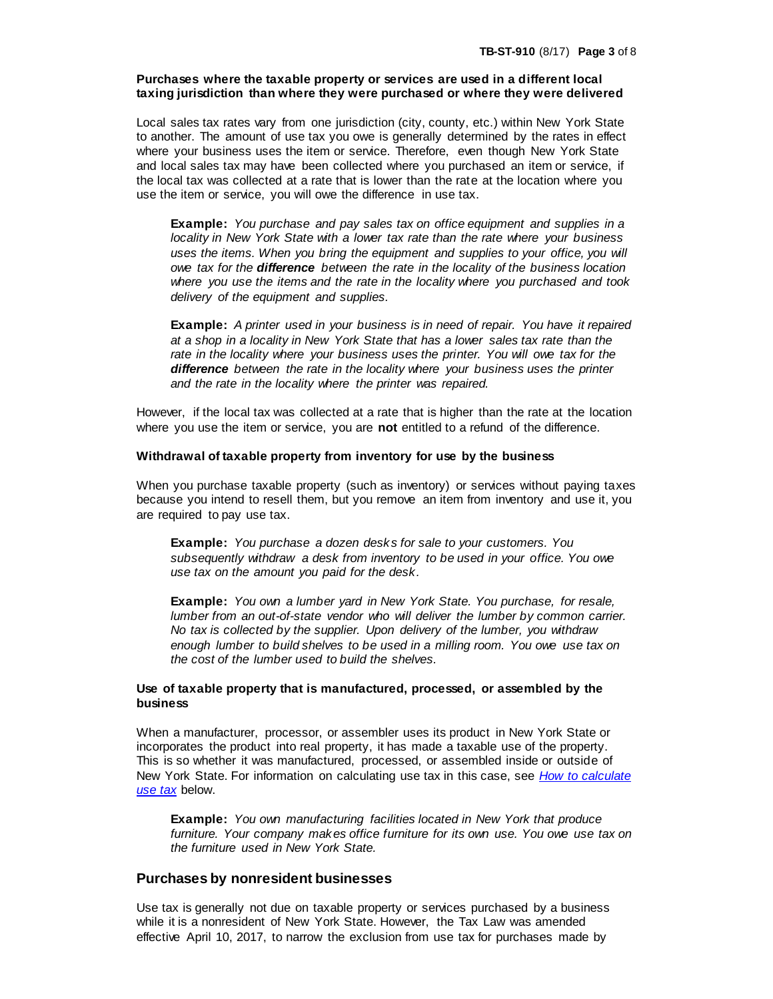## **Purchases where the taxable property or services are used in a different local taxing jurisdiction than where they were purchased or where they were delivered**

Local sales tax rates vary from one jurisdiction (city, county, etc.) within New York State to another. The amount of use tax you owe is generally determined by the rates in effect where your business uses the item or service. Therefore, even though New York State and local sales tax may have been collected where you purchased an item or service, if the local tax was collected at a rate that is lower than the rate at the location where you use the item or service, you will owe the difference in use tax.

**Example:** *You purchase and pay sales tax on office equipment and supplies in a locality in New York State with a lower tax rate than the rate where your business uses the items. When you bring the equipment and supplies to your office, you will owe tax for the difference between the rate in the locality of the business location where you use the items and the rate in the locality where you purchased and took delivery of the equipment and supplies.*

**Example:** *A printer used in your business is in need of repair. You have it repaired at a shop in a locality in New York State that has a lower sales tax rate than the rate in the locality where your business uses the printer. You will owe tax for the difference between the rate in the locality where your business uses the printer and the rate in the locality where the printer was repaired.*

However, if the local tax was collected at a rate that is higher than the rate at the location where you use the item or service, you are **not** entitled to a refund of the difference.

#### **Withdrawal of taxable property from inventory for use by the business**

When you purchase taxable property (such as inventory) or services without paying taxes because you intend to resell them, but you remove an item from inventory and use it, you are required to pay use tax.

**Example:** *You purchase a dozen desks for sale to your customers. You subsequently withdraw a desk from inventory to be used in your office. You owe use tax on the amount you paid for the desk.*

**Example:** *You own a lumber yard in New York State. You purchase, for resale, lumber from an out-of-state vendor who will deliver the lumber by common carrier. No tax is collected by the supplier. Upon delivery of the lumber, you withdraw enough lumber to build shelves to be used in a milling room. You owe use tax on the cost of the lumber used to build the shelves.*

### **Use of taxable property that is manufactured, processed, or assembled by the business**

When a manufacturer, processor, or assembler uses its product in New York State or incorporates the product into real property, it has made a taxable use of the property. This is so whether it was manufactured, processed, or assembled inside or outside of New York State. For information on calculating use tax in this case, see *[How to calculate](#page-3-0)  [use tax](#page-3-0)* below.

**Example:** *You own manufacturing facilities located in New York that produce furniture. Your company makes office furniture for its own use. You owe use tax on the furniture used in New York State.*

### **Purchases by nonresident businesses**

Use tax is generally not due on taxable property or services purchased by a business while it is a nonresident of New York State. However, the Tax Law was amended effective April 10, 2017, to narrow the exclusion from use tax for purchases made by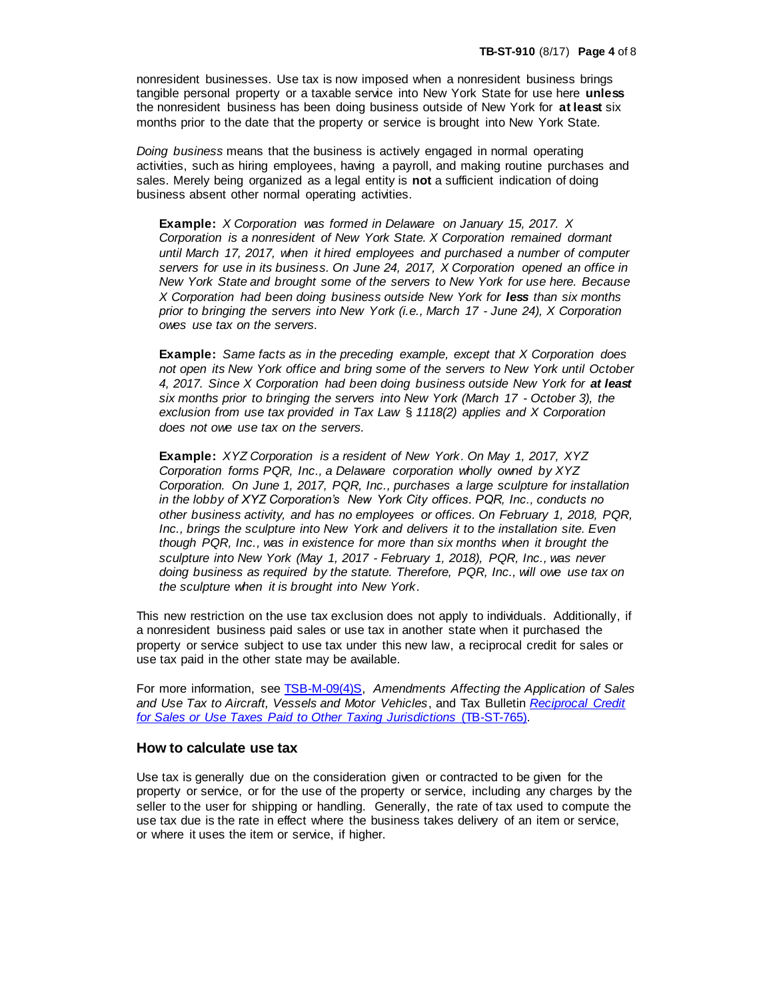nonresident businesses. Use tax is now imposed when a nonresident business brings tangible personal property or a taxable service into New York State for use here **unless** the nonresident business has been doing business outside of New York for **at least** six months prior to the date that the property or service is brought into New York State.

*Doing business* means that the business is actively engaged in normal operating activities, such as hiring employees, having a payroll, and making routine purchases and sales. Merely being organized as a legal entity is **not** a sufficient indication of doing business absent other normal operating activities.

**Example:** *X Corporation was formed in Delaware on January 15, 2017. X Corporation is a nonresident of New York State. X Corporation remained dormant until March 17, 2017, when it hired employees and purchased a number of computer servers for use in its business. On June 24, 2017, X Corporation opened an office in New York State and brought some of the servers to New York for use here. Because X Corporation had been doing business outside New York for less than six months prior to bringing the servers into New York (i.e., March 17 - June 24), X Corporation owes use tax on the servers.*

**Example:** *Same facts as in the preceding example, except that X Corporation does not open its New York office and bring some of the servers to New York until October*  4, 2017. Since *X* Corporation had been doing business outside New York for at least *six months prior to bringing the servers into New York (March 17 - October 3), the exclusion from use tax provided in Tax Law* § *1118(2) applies and X Corporation does not owe use tax on the servers.*

**Example:** *XYZ Corporation is a resident of New York. On May 1, 2017, XYZ Corporation forms PQR, Inc., a Delaware corporation wholly owned by XYZ Corporation. On June 1, 2017, PQR, Inc., purchases a large sculpture for installation in the lobby of XYZ Corporation's New York City offices. PQR, Inc., conducts no other business activity, and has no employees or offices. On February 1, 2018, PQR, Inc., brings the sculpture into New York and delivers it to the installation site. Even though PQR, Inc., was in existence for more than six months when it brought the sculpture into New York (May 1, 2017 - February 1, 2018), PQR, Inc., was never doing business as required by the statute. Therefore, PQR, Inc., will owe use tax on the sculpture when it is brought into New York.*

This new restriction on the use tax exclusion does not apply to individuals. Additionally, if a nonresident business paid sales or use tax in another state when it purchased the property or service subject to use tax under this new law, a reciprocal credit for sales or use tax paid in the other state may be available.

For more information, see [TSB-M-09\(4\)S,](http://www.tax.ny.gov/pdf/memos/sales/m09_4s.pdf) *Amendments Affecting the Application of Sales and Use Tax to Aircraft, Vessels and Motor Vehicles*, and Tax Bulletin *[Reciprocal Credit](https://www.tax.ny.gov/pubs_and_bulls/tg_bulletins/st/reciprocity.htm)  [for Sales or Use Taxes Paid to Other Taxing Jurisdictions](https://www.tax.ny.gov/pubs_and_bulls/tg_bulletins/st/reciprocity.htm)* (TB-ST-765).

## <span id="page-3-0"></span>**How to calculate use tax**

Use tax is generally due on the consideration given or contracted to be given for the property or service, or for the use of the property or service, including any charges by the seller to the user for shipping or handling. Generally, the rate of tax used to compute the use tax due is the rate in effect where the business takes delivery of an item or service, or where it uses the item or service, if higher.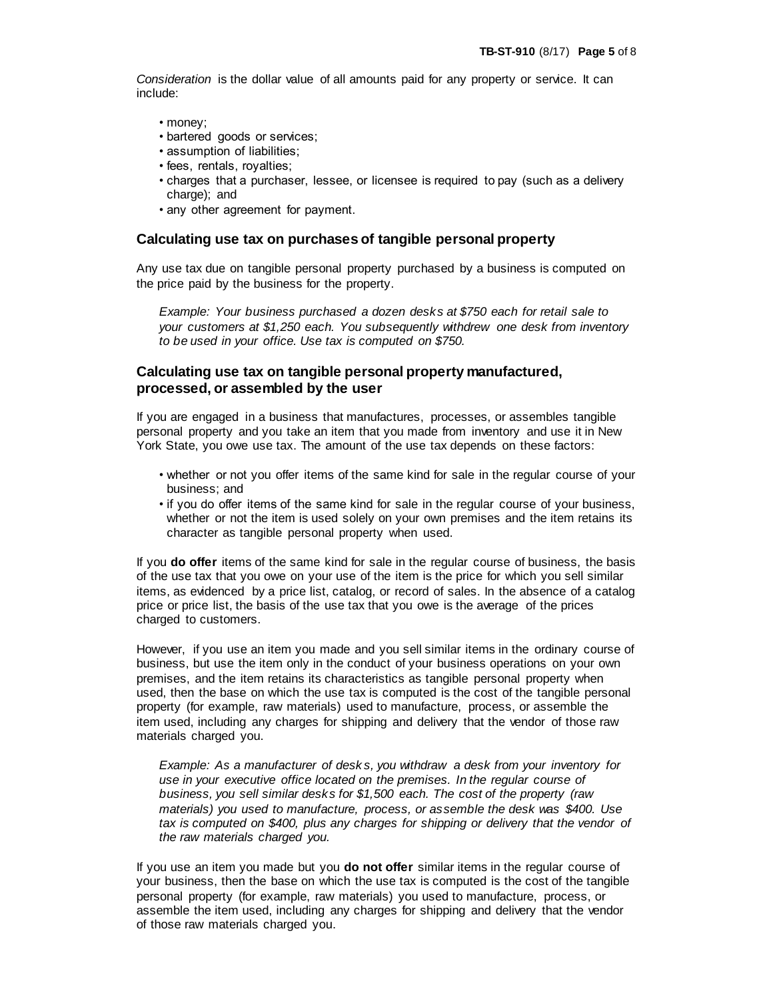*Consideration* is the dollar value of all amounts paid for any property or service. It can include:

- money;
- bartered goods or services;
- assumption of liabilities;
- fees, rentals, royalties;
- charges that a purchaser, lessee, or licensee is required to pay (such as a delivery charge); and
- any other agreement for payment.

## **Calculating use tax on purchases of tangible personal property**

Any use tax due on tangible personal property purchased by a business is computed on the price paid by the business for the property.

*Example: Your business purchased a dozen desks at \$750 each for retail sale to your customers at \$1,250 each. You subsequently withdrew one desk from inventory to be used in your office. Use tax is computed on \$750.*

## **Calculating use tax on tangible personal property manufactured, processed, or assembled by the user**

If you are engaged in a business that manufactures, processes, or assembles tangible personal property and you take an item that you made from inventory and use it in New York State, you owe use tax. The amount of the use tax depends on these factors:

- whether or not you offer items of the same kind for sale in the regular course of your business; and
- if you do offer items of the same kind for sale in the regular course of your business, whether or not the item is used solely on your own premises and the item retains its character as tangible personal property when used.

If you **do offer** items of the same kind for sale in the regular course of business, the basis of the use tax that you owe on your use of the item is the price for which you sell similar items, as evidenced by a price list, catalog, or record of sales. In the absence of a catalog price or price list, the basis of the use tax that you owe is the average of the prices charged to customers.

However, if you use an item you made and you sell similar items in the ordinary course of business, but use the item only in the conduct of your business operations on your own premises, and the item retains its characteristics as tangible personal property when used, then the base on which the use tax is computed is the cost of the tangible personal property (for example, raw materials) used to manufacture, process, or assemble the item used, including any charges for shipping and delivery that the vendor of those raw materials charged you.

*Example: As a manufacturer of desk s, you withdraw a desk from your inventory for use in your executive office located on the premises. In the regular course of business, you sell similar desks for \$1,500 each. The cost of the property (raw materials) you used to manufacture, process, or assemble the desk was \$400. Use*  tax is computed on \$400, plus any charges for shipping or delivery that the vendor of *the raw materials charged you.*

If you use an item you made but you **do not offer** similar items in the regular course of your business, then the base on which the use tax is computed is the cost of the tangible personal property (for example, raw materials) you used to manufacture, process, or assemble the item used, including any charges for shipping and delivery that the vendor of those raw materials charged you.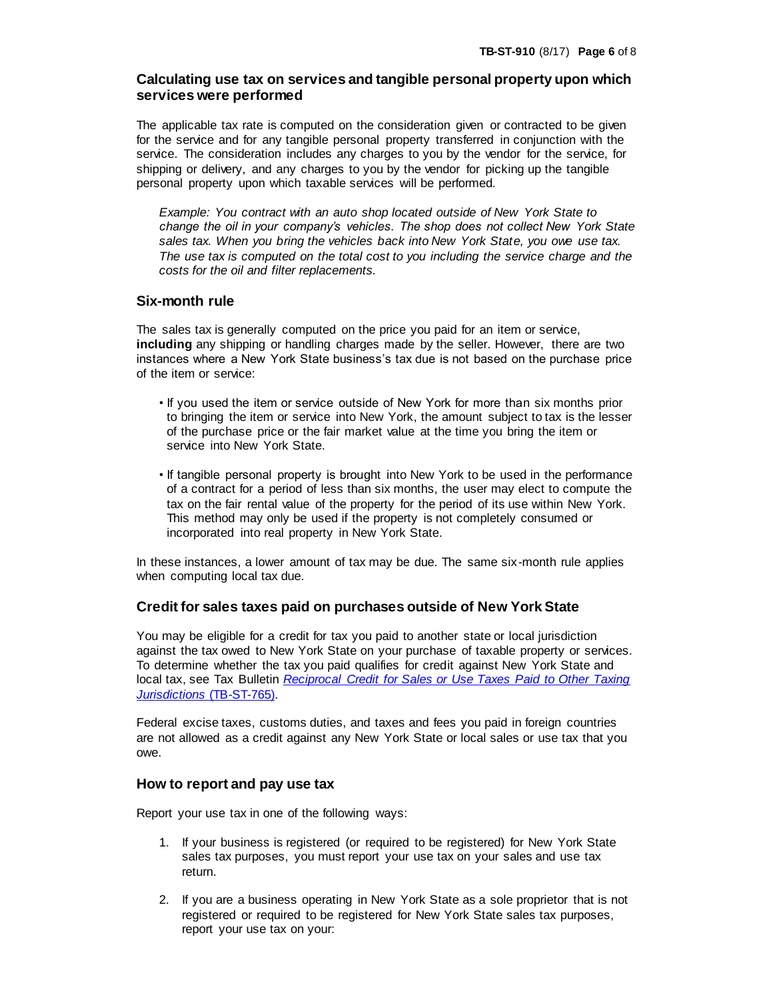# **Calculating use tax on services and tangible personal property upon which services were performed**

The applicable tax rate is computed on the consideration given or contracted to be given for the service and for any tangible personal property transferred in conjunction with the service. The consideration includes any charges to you by the vendor for the service, for shipping or delivery, and any charges to you by the vendor for picking up the tangible personal property upon which taxable services will be performed.

*Example: You contract with an auto shop located outside of New York State to change the oil in your company's vehicles. The shop does not collect New York State sales tax. When you bring the vehicles back into New York State, you owe use tax. The use tax is computed on the total cost to you including the service charge and the costs for the oil and filter replacements.*

# **Six-month rule**

The sales tax is generally computed on the price you paid for an item or service, **including** any shipping or handling charges made by the seller. However, there are two instances where a New York State business's tax due is not based on the purchase price of the item or service:

- If you used the item or service outside of New York for more than six months prior to bringing the item or service into New York, the amount subject to tax is the lesser of the purchase price or the fair market value at the time you bring the item or service into New York State.
- If tangible personal property is brought into New York to be used in the performance of a contract for a period of less than six months, the user may elect to compute the tax on the fair rental value of the property for the period of its use within New York. This method may only be used if the property is not completely consumed or incorporated into real property in New York State.

In these instances, a lower amount of tax may be due. The same six-month rule applies when computing local tax due.

# **Credit for sales taxes paid on purchases outside of New York State**

You may be eligible for a credit for tax you paid to another state or local jurisdiction against the tax owed to New York State on your purchase of taxable property or services. To determine whether the tax you paid qualifies for credit against New York State and local tax, see Tax Bulletin *[Reciprocal Credit for Sales or Use Taxes Paid to Other Taxing](http://www.tax.ny.gov/pubs_and_bulls/tg_bulletins/st/reciprocity.htm)  Jurisdictions* [\(TB-ST-765\).](http://www.tax.ny.gov/pubs_and_bulls/tg_bulletins/st/reciprocity.htm)

Federal excise taxes, customs duties, and taxes and fees you paid in foreign countries are not allowed as a credit against any New York State or local sales or use tax that you owe.

# **How to report and pay use tax**

Report your use tax in one of the following ways:

- 1. If your business is registered (or required to be registered) for New York State sales tax purposes, you must report your use tax on your sales and use tax return.
- 2. If you are a business operating in New York State as a sole proprietor that is not registered or required to be registered for New York State sales tax purposes, report your use tax on your: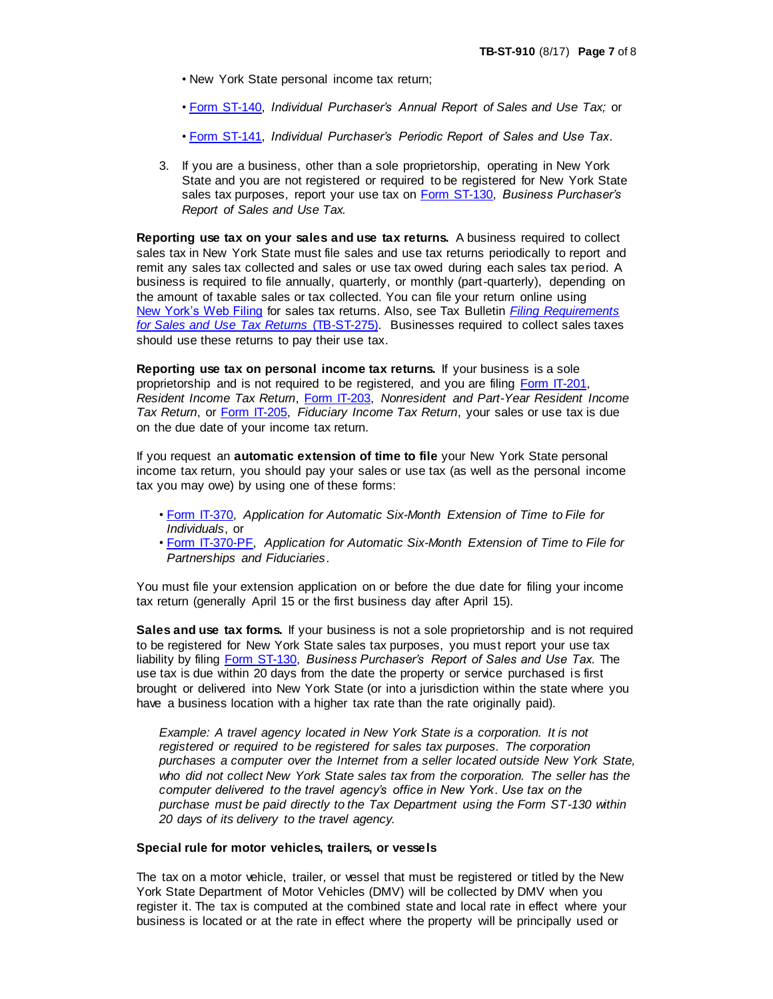- New York State personal income tax return;
- • [Form ST-140,](http://www.tax.ny.gov/pdf/current_forms/st/st140.pdf) *Individual Purchaser's Annual Report of Sales and Use Tax;* or
- • [Form ST-141,](http://www.tax.ny.gov/pdf/current_forms/st/st141.pdf) *Individual Purchaser's Periodic Report of Sales and Use Tax*.
- 3. If you are a business, other than a sole proprietorship, operating in New York State and you are not registered or required to be registered for New York State sales tax purposes, report your use tax on [Form ST-130,](http://www.tax.ny.gov/pdf/current_forms/st/st130.pdf) *Business Purchaser's Report of Sales and Use Tax.*

**Reporting use tax on your sales and use tax returns.** A business required to collect sales tax in New York State must file sales and use tax returns periodically to report and remit any sales tax collected and sales or use tax owed during each sales tax period. A business is required to file annually, quarterly, or monthly (part-quarterly), depending on the amount of taxable sales or tax collected. You can file your return online using New [York's Web Filing](http://www.tax.ny.gov/bus/st/stmp.htm) for sales tax returns. Also, see Tax Bulletin *[Filing Requirements](http://www.tax.ny.gov/pubs_and_bulls/tg_bulletins/st/filing_requirements_for_sales_and_use_tax_returns.htm)  [for Sales and Use Tax Returns](http://www.tax.ny.gov/pubs_and_bulls/tg_bulletins/st/filing_requirements_for_sales_and_use_tax_returns.htm)* (TB-ST-275). Businesses required to collect sales taxes should use these returns to pay their use tax.

**Reporting use tax on personal income tax returns.** If your business is a sole proprietorship and is not required to be registered, and you are filing [Form IT-201,](http://www.tax.ny.gov/forms/income_fullyear_forms.htm)  *Resident Income Tax Return*, [Form IT-203,](http://www.tax.ny.gov/forms/income_partyear_forms.htm) *Nonresident and Part-Year Resident Income Tax Return*, or [Form IT-205,](http://www.tax.ny.gov/forms/fiduciary_cur_forms.htm) *Fiduciary Income Tax Return*, your sales or use tax is due on the due date of your income tax return.

If you request an **automatic extension of time to file** your New York State personal income tax return, you should pay your sales or use tax (as well as the personal income tax you may owe) by using one of these forms:

- • [Form IT-370,](http://www.tax.ny.gov/forms/income_fullyear_forms.htm) *Application for Automatic Six-Month Extension of Time to File for Individuals*, or
- • [Form IT-370-PF,](http://www.tax.ny.gov/forms/fiduciary_cur_forms.htm) *Application for Automatic Six-Month Extension of Time to File for Partnerships and Fiduciaries*.

You must file your extension application on or before the due date for filing your income tax return (generally April 15 or the first business day after April 15).

**Sales and use tax forms.** If your business is not a sole proprietorship and is not required to be registered for New York State sales tax purposes, you must report your use tax liability by filing **Form ST-130**, *Business Purchaser's Report of Sales and Use Tax.* The use tax is due within 20 days from the date the property or service purchased is first brought or delivered into New York State (or into a jurisdiction within the state where you have a business location with a higher tax rate than the rate originally paid).

*Example: A travel agency located in New York State is a corporation. It is not registered or required to be registered for sales tax purposes. The corporation purchases a computer over the Internet from a seller located outside New York State, who did not collect New York State sales tax from the corporation. The seller has the computer delivered to the travel agency's office in New York. Use tax on the purchase must be paid directly to the Tax Department using the Form ST-130 within 20 days of its delivery to the travel agency.*

#### **Special rule for motor vehicles, trailers, or vessels**

The tax on a motor vehicle, trailer, or vessel that must be registered or titled by the New York State Department of Motor Vehicles (DMV) will be collected by DMV when you register it. The tax is computed at the combined state and local rate in effect where your business is located or at the rate in effect where the property will be principally used or